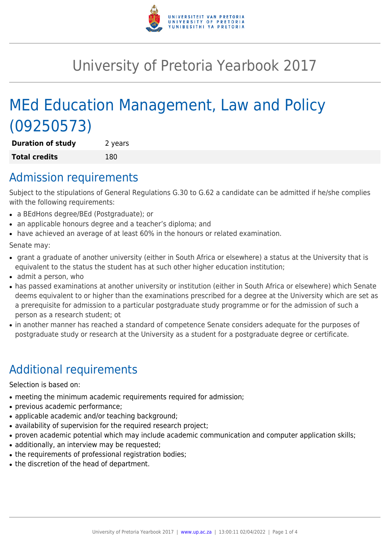

# University of Pretoria Yearbook 2017

# MEd Education Management, Law and Policy (09250573)

**Duration of study** 2 years **Total credits** 180

### Admission requirements

Subject to the stipulations of General Regulations G.30 to G.62 a candidate can be admitted if he/she complies with the following requirements:

- a BEdHons degree/BEd (Postgraduate); or
- an applicable honours degree and a teacher's diploma; and
- have achieved an average of at least 60% in the honours or related examination.

Senate may:

- grant a graduate of another university (either in South Africa or elsewhere) a status at the University that is equivalent to the status the student has at such other higher education institution;
- admit a person, who
- has passed examinations at another university or institution (either in South Africa or elsewhere) which Senate deems equivalent to or higher than the examinations prescribed for a degree at the University which are set as a prerequisite for admission to a particular postgraduate study programme or for the admission of such a person as a research student; ot
- in another manner has reached a standard of competence Senate considers adequate for the purposes of postgraduate study or research at the University as a student for a postgraduate degree or certificate.

# Additional requirements

Selection is based on:

- meeting the minimum academic requirements required for admission;
- previous academic performance;
- applicable academic and/or teaching background;
- availability of supervision for the required research project;
- proven academic potential which may include academic communication and computer application skills;
- additionally, an interview may be requested;
- the requirements of professional registration bodies;
- the discretion of the head of department.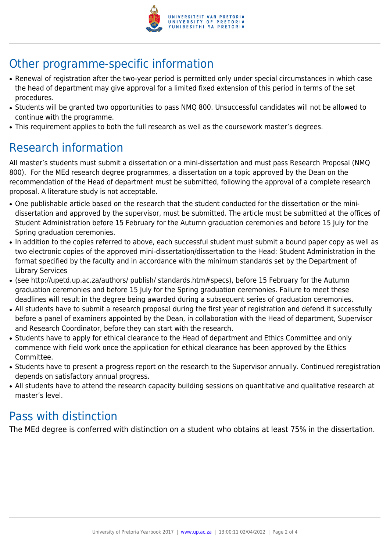

## Other programme-specific information

- Renewal of registration after the two-year period is permitted only under special circumstances in which case the head of department may give approval for a limited fixed extension of this period in terms of the set procedures.
- Students will be granted two opportunities to pass NMQ 800. Unsuccessful candidates will not be allowed to continue with the programme.
- This requirement applies to both the full research as well as the coursework master's degrees.

## Research information

All master's students must submit a dissertation or a mini-dissertation and must pass Research Proposal (NMQ 800). For the MEd research degree programmes, a dissertation on a topic approved by the Dean on the recommendation of the Head of department must be submitted, following the approval of a complete research proposal. A literature study is not acceptable.

- One publishable article based on the research that the student conducted for the dissertation or the minidissertation and approved by the supervisor, must be submitted. The article must be submitted at the offices of Student Administration before 15 February for the Autumn graduation ceremonies and before 15 July for the Spring graduation ceremonies.
- In addition to the copies referred to above, each successful student must submit a bound paper copy as well as two electronic copies of the approved mini-dissertation/dissertation to the Head: Student Administration in the format specified by the faculty and in accordance with the minimum standards set by the Department of Library Services
- (see http://upetd.up.ac.za/authors/ publish/ standards.htm#specs), before 15 February for the Autumn graduation ceremonies and before 15 July for the Spring graduation ceremonies. Failure to meet these deadlines will result in the degree being awarded during a subsequent series of graduation ceremonies.
- All students have to submit a research proposal during the first year of registration and defend it successfully before a panel of examiners appointed by the Dean, in collaboration with the Head of department, Supervisor and Research Coordinator, before they can start with the research.
- Students have to apply for ethical clearance to the Head of department and Ethics Committee and only commence with field work once the application for ethical clearance has been approved by the Ethics Committee.
- Students have to present a progress report on the research to the Supervisor annually. Continued reregistration depends on satisfactory annual progress.
- All students have to attend the research capacity building sessions on quantitative and qualitative research at master's level.

### Pass with distinction

The MEd degree is conferred with distinction on a student who obtains at least 75% in the dissertation.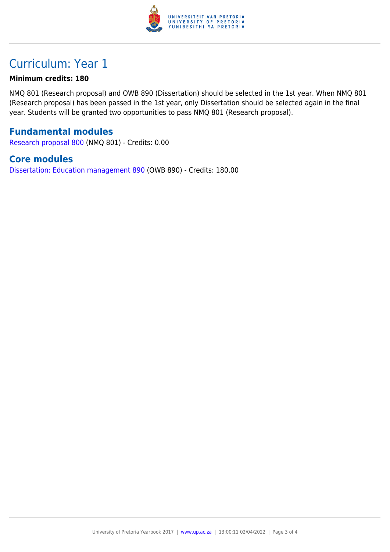

## Curriculum: Year 1

#### **Minimum credits: 180**

NMQ 801 (Research proposal) and OWB 890 (Dissertation) should be selected in the 1st year. When NMQ 801 (Research proposal) has been passed in the 1st year, only Dissertation should be selected again in the final year. Students will be granted two opportunities to pass NMQ 801 (Research proposal).

#### **Fundamental modules**

[Research proposal 800](https://www.up.ac.za/parents/yearbooks/2017/modules/view/NMQ 801) (NMQ 801) - Credits: 0.00

#### **Core modules**

[Dissertation: Education management 890](https://www.up.ac.za/parents/yearbooks/2017/modules/view/OWB 890) (OWB 890) - Credits: 180.00